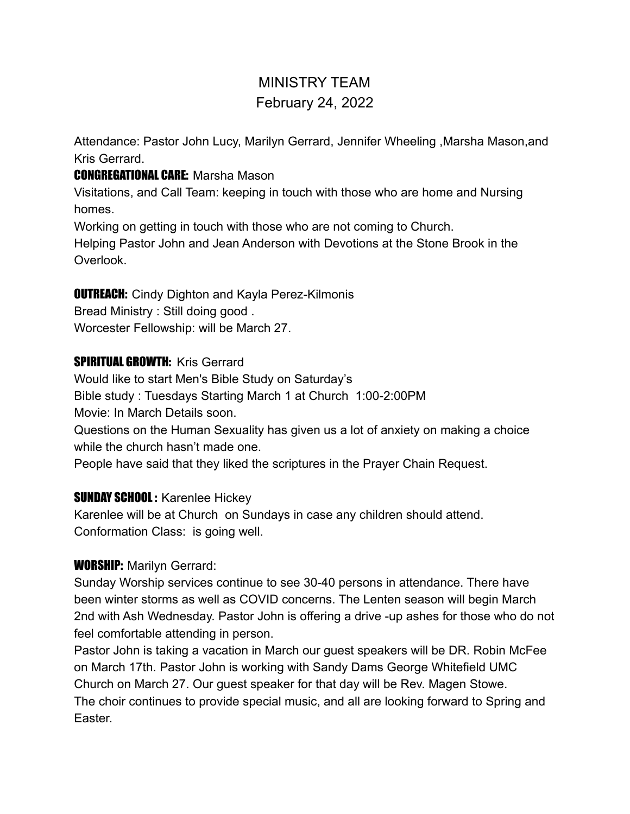# MINISTRY TEAM February 24, 2022

Attendance: Pastor John Lucy, Marilyn Gerrard, Jennifer Wheeling ,Marsha Mason,and Kris Gerrard.

### CONGREGATIONAL CARE: Marsha Mason

Visitations, and Call Team: keeping in touch with those who are home and Nursing homes.

Working on getting in touch with those who are not coming to Church.

Helping Pastor John and Jean Anderson with Devotions at the Stone Brook in the Overlook.

# **OUTREACH:** Cindy Dighton and Kayla Perez-Kilmonis

Bread Ministry : Still doing good .

Worcester Fellowship: will be March 27.

### **SPIRITUAL GROWTH: Kris Gerrard**

Would like to start Men's Bible Study on Saturday's Bible study : Tuesdays Starting March 1 at Church 1:00-2:00PM Movie: In March Details soon.

Questions on the Human Sexuality has given us a lot of anxiety on making a choice while the church hasn't made one.

People have said that they liked the scriptures in the Prayer Chain Request.

# **SUNDAY SCHOOL: Karenlee Hickey**

Karenlee will be at Church on Sundays in case any children should attend. Conformation Class: is going well.

#### WORSHIP: Marilyn Gerrard:

Sunday Worship services continue to see 30-40 persons in attendance. There have been winter storms as well as COVID concerns. The Lenten season will begin March 2nd with Ash Wednesday. Pastor John is offering a drive -up ashes for those who do not feel comfortable attending in person.

Pastor John is taking a vacation in March our guest speakers will be DR. Robin McFee on March 17th. Pastor John is working with Sandy Dams George Whitefield UMC Church on March 27. Our guest speaker for that day will be Rev. Magen Stowe. The choir continues to provide special music, and all are looking forward to Spring and **Easter**